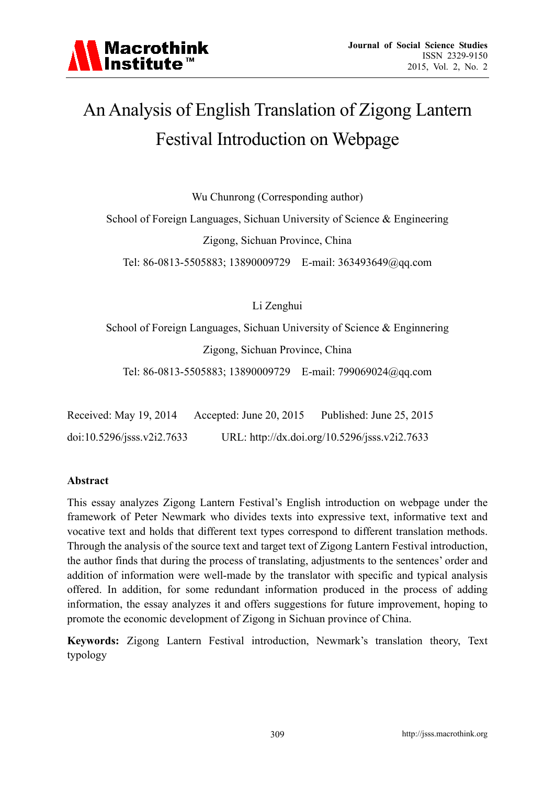# An Analysis of English Translation of Zigong Lantern Festival Introduction on Webpage

Wu Chunrong (Corresponding author)

School of Foreign Languages, Sichuan University of Science & Engineering Zigong, Sichuan Province, China

Tel: 86-0813-5505883; 13890009729 E-mail: 363493649@qq.com

Li Zenghui

School of Foreign Languages, Sichuan University of Science & Enginnering Zigong, Sichuan Province, China

Tel: 86-0813-5505883; 13890009729 E-mail: 799069024@qq.com

| Received: May 19, 2014                             | Accepted: June 20, $2015$ | Published: June 25, 2015                      |
|----------------------------------------------------|---------------------------|-----------------------------------------------|
| $\frac{\text{doi:10.5296}}{\text{ISS. v2i2.7633}}$ |                           | URL: http://dx.doi.org/10.5296/jsss.v2i2.7633 |

## **Abstract**

This essay analyzes Zigong Lantern Festival's English introduction on webpage under the framework of Peter Newmark who divides texts into expressive text, informative text and vocative text and holds that different text types correspond to different translation methods. Through the analysis of the source text and target text of Zigong Lantern Festival introduction, the author finds that during the process of translating, adjustments to the sentences' order and addition of information were well-made by the translator with specific and typical analysis offered. In addition, for some redundant information produced in the process of adding information, the essay analyzes it and offers suggestions for future improvement, hoping to promote the economic development of Zigong in Sichuan province of China.

**Keywords:** Zigong Lantern Festival introduction, Newmark's translation theory, Text typology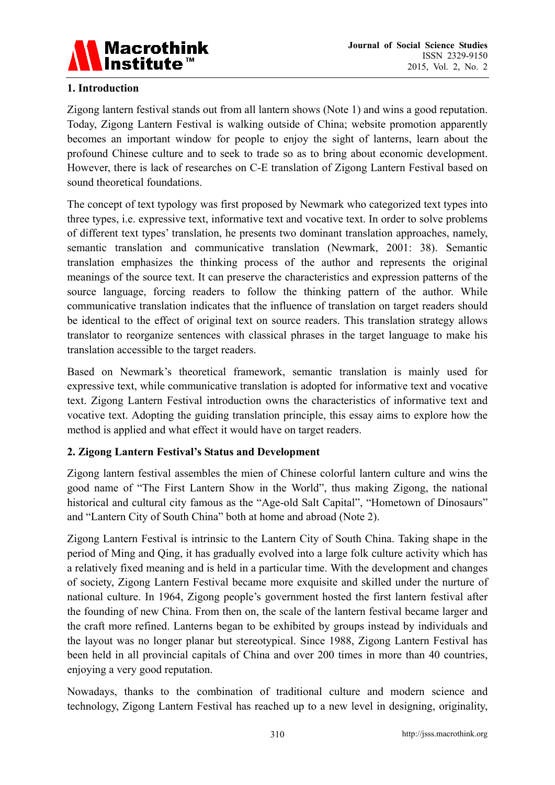

# **1. Introduction**

Zigong lantern festival stands out from all lantern shows (Note 1) and wins a good reputation. Today, Zigong Lantern Festival is walking outside of China; website promotion apparently becomes an important window for people to enjoy the sight of lanterns, learn about the profound Chinese culture and to seek to trade so as to bring about economic development. However, there is lack of researches on C-E translation of Zigong Lantern Festival based on sound theoretical foundations.

The concept of text typology was first proposed by Newmark who categorized text types into three types, i.e. expressive text, informative text and vocative text. In order to solve problems of different text types' translation, he presents two dominant translation approaches, namely, semantic translation and communicative translation (Newmark, 2001: 38). Semantic translation emphasizes the thinking process of the author and represents the original meanings of the source text. It can preserve the characteristics and expression patterns of the source language, forcing readers to follow the thinking pattern of the author. While communicative translation indicates that the influence of translation on target readers should be identical to the effect of original text on source readers. This translation strategy allows translator to reorganize sentences with classical phrases in the target language to make his translation accessible to the target readers.

Based on Newmark's theoretical framework, semantic translation is mainly used for expressive text, while communicative translation is adopted for informative text and vocative text. Zigong Lantern Festival introduction owns the characteristics of informative text and vocative text. Adopting the guiding translation principle, this essay aims to explore how the method is applied and what effect it would have on target readers.

## **2. Zigong Lantern Festival's Status and Development**

Zigong lantern festival assembles the mien of Chinese colorful lantern culture and wins the good name of "The First Lantern Show in the World", thus making Zigong, the national historical and cultural city famous as the "Age-old Salt Capital", "Hometown of Dinosaurs" and "Lantern City of South China" both at home and abroad (Note 2).

Zigong Lantern Festival is intrinsic to the Lantern City of South China. Taking shape in the period of Ming and Qing, it has gradually evolved into a large folk culture activity which has a relatively fixed meaning and is held in a particular time. With the development and changes of society, Zigong Lantern Festival became more exquisite and skilled under the nurture of national culture. In 1964, Zigong people's government hosted the first lantern festival after the founding of new China. From then on, the scale of the lantern festival became larger and the craft more refined. Lanterns began to be exhibited by groups instead by individuals and the layout was no longer planar but stereotypical. Since 1988, Zigong Lantern Festival has been held in all provincial capitals of China and over 200 times in more than 40 countries, enjoying a very good reputation.

Nowadays, thanks to the combination of traditional culture and modern science and technology, Zigong Lantern Festival has reached up to a new level in designing, originality,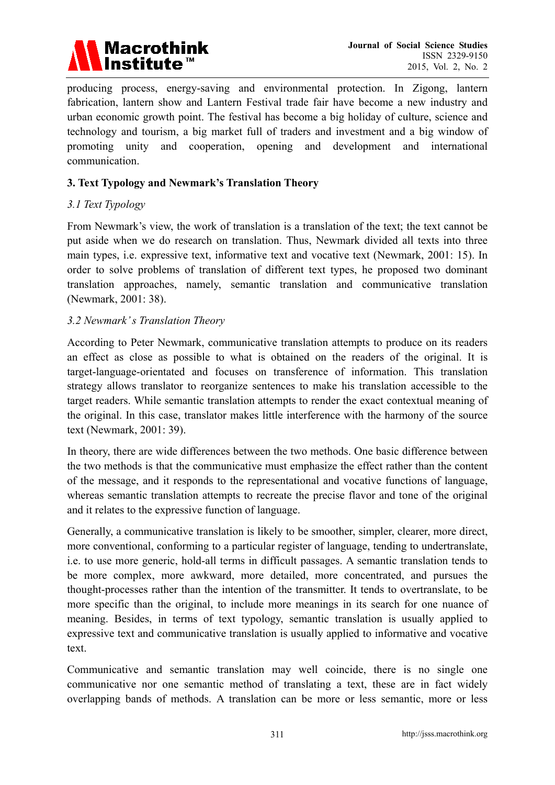

producing process, energy-saving and environmental protection. In Zigong, lantern fabrication, lantern show and Lantern Festival trade fair have become a new industry and urban economic growth point. The festival has become a big holiday of culture, science and technology and tourism, a big market full of traders and investment and a big window of promoting unity and cooperation, opening and development and international communication.

# **3. Text Typology and Newmark's Translation Theory**

# *3.1 Text Typology*

From Newmark's view, the work of translation is a translation of the text; the text cannot be put aside when we do research on translation. Thus, Newmark divided all texts into three main types, i.e. expressive text, informative text and vocative text (Newmark, 2001: 15). In order to solve problems of translation of different text types, he proposed two dominant translation approaches, namely, semantic translation and communicative translation (Newmark, 2001: 38).

## *3.2 Newmark' s Translation Theory*

According to Peter Newmark, communicative translation attempts to produce on its readers an effect as close as possible to what is obtained on the readers of the original. It is target-language-orientated and focuses on transference of information. This translation strategy allows translator to reorganize sentences to make his translation accessible to the target readers. While semantic translation attempts to render the exact contextual meaning of the original. In this case, translator makes little interference with the harmony of the source text (Newmark, 2001: 39).

In theory, there are wide differences between the two methods. One basic difference between the two methods is that the communicative must emphasize the effect rather than the content of the message, and it responds to the representational and vocative functions of language, whereas semantic translation attempts to recreate the precise flavor and tone of the original and it relates to the expressive function of language.

Generally, a communicative translation is likely to be smoother, simpler, clearer, more direct, more conventional, conforming to a particular register of language, tending to undertranslate, i.e. to use more generic, hold-all terms in difficult passages. A semantic translation tends to be more complex, more awkward, more detailed, more concentrated, and pursues the thought-processes rather than the intention of the transmitter. It tends to overtranslate, to be more specific than the original, to include more meanings in its search for one nuance of meaning. Besides, in terms of text typology, semantic translation is usually applied to expressive text and communicative translation is usually applied to informative and vocative text.

Communicative and semantic translation may well coincide, there is no single one communicative nor one semantic method of translating a text, these are in fact widely overlapping bands of methods. A translation can be more or less semantic, more or less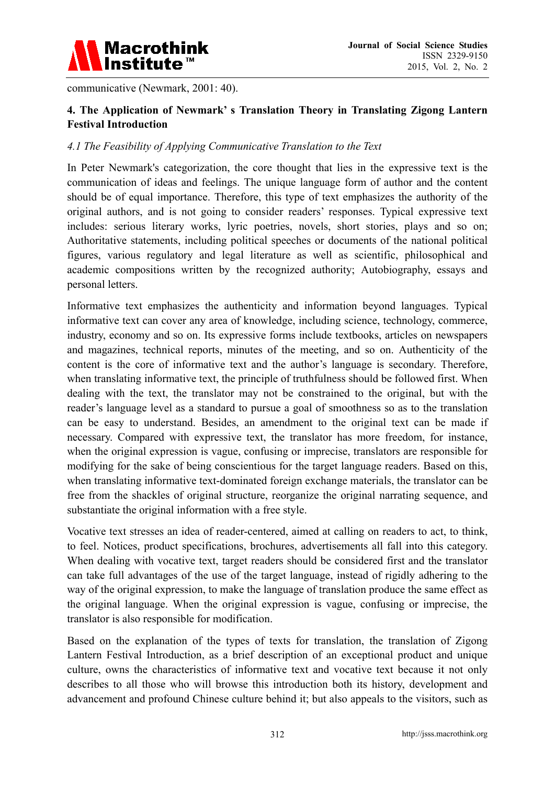

communicative (Newmark, 2001: 40).

# **4. The Application of Newmark' s Translation Theory in Translating Zigong Lantern Festival Introduction**

## *4.1 The Feasibility of Applying Communicative Translation to the Text*

In Peter Newmark's categorization, the core thought that lies in the expressive text is the communication of ideas and feelings. The unique language form of author and the content should be of equal importance. Therefore, this type of text emphasizes the authority of the original authors, and is not going to consider readers' responses. Typical expressive text includes: serious literary works, lyric poetries, novels, short stories, plays and so on; Authoritative statements, including political speeches or documents of the national political figures, various regulatory and legal literature as well as scientific, philosophical and academic compositions written by the recognized authority; Autobiography, essays and personal letters.

Informative text emphasizes the authenticity and information beyond languages. Typical informative text can cover any area of knowledge, including science, technology, commerce, industry, economy and so on. Its expressive forms include textbooks, articles on newspapers and magazines, technical reports, minutes of the meeting, and so on. Authenticity of the content is the core of informative text and the author's language is secondary. Therefore, when translating informative text, the principle of truthfulness should be followed first. When dealing with the text, the translator may not be constrained to the original, but with the reader's language level as a standard to pursue a goal of smoothness so as to the translation can be easy to understand. Besides, an amendment to the original text can be made if necessary. Compared with expressive text, the translator has more freedom, for instance, when the original expression is vague, confusing or imprecise, translators are responsible for modifying for the sake of being conscientious for the target language readers. Based on this, when translating informative text-dominated foreign exchange materials, the translator can be free from the shackles of original structure, reorganize the original narrating sequence, and substantiate the original information with a free style.

Vocative text stresses an idea of reader-centered, aimed at calling on readers to act, to think, to feel. Notices, product specifications, brochures, advertisements all fall into this category. When dealing with vocative text, target readers should be considered first and the translator can take full advantages of the use of the target language, instead of rigidly adhering to the way of the original expression, to make the language of translation produce the same effect as the original language. When the original expression is vague, confusing or imprecise, the translator is also responsible for modification.

Based on the explanation of the types of texts for translation, the translation of Zigong Lantern Festival Introduction, as a brief description of an exceptional product and unique culture, owns the characteristics of informative text and vocative text because it not only describes to all those who will browse this introduction both its history, development and advancement and profound Chinese culture behind it; but also appeals to the visitors, such as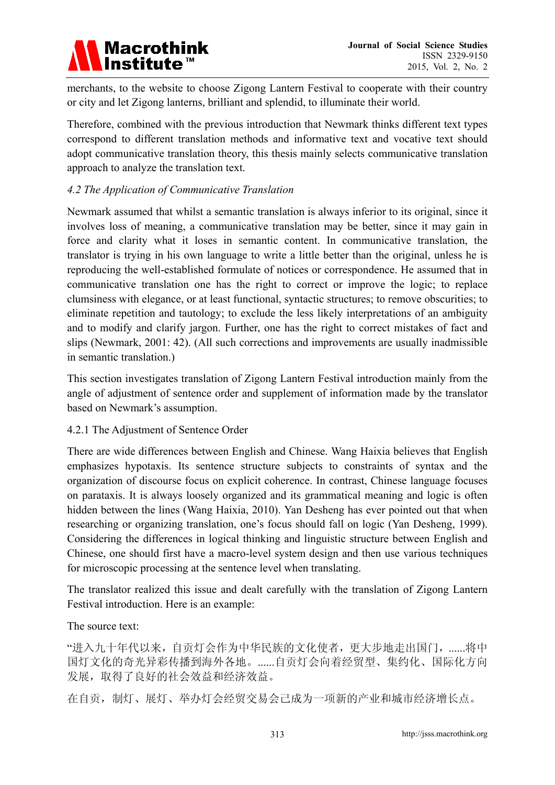

merchants, to the website to choose Zigong Lantern Festival to cooperate with their country or city and let Zigong lanterns, brilliant and splendid, to illuminate their world.

Therefore, combined with the previous introduction that Newmark thinks different text types correspond to different translation methods and informative text and vocative text should adopt communicative translation theory, this thesis mainly selects communicative translation approach to analyze the translation text.

# *4.2 The Application of Communicative Translation*

Newmark assumed that whilst a semantic translation is always inferior to its original, since it involves loss of meaning, a communicative translation may be better, since it may gain in force and clarity what it loses in semantic content. In communicative translation, the translator is trying in his own language to write a little better than the original, unless he is reproducing the well-established formulate of notices or correspondence. He assumed that in communicative translation one has the right to correct or improve the logic; to replace clumsiness with elegance, or at least functional, syntactic structures; to remove obscurities; to eliminate repetition and tautology; to exclude the less likely interpretations of an ambiguity and to modify and clarify jargon. Further, one has the right to correct mistakes of fact and slips (Newmark, 2001: 42). (All such corrections and improvements are usually inadmissible in semantic translation.)

This section investigates translation of Zigong Lantern Festival introduction mainly from the angle of adjustment of sentence order and supplement of information made by the translator based on Newmark's assumption.

## 4.2.1 The Adjustment of Sentence Order

There are wide differences between English and Chinese. Wang Haixia believes that English emphasizes hypotaxis. Its sentence structure subjects to constraints of syntax and the organization of discourse focus on explicit coherence. In contrast, Chinese language focuses on parataxis. It is always loosely organized and its grammatical meaning and logic is often hidden between the lines (Wang Haixia, 2010). Yan Desheng has ever pointed out that when researching or organizing translation, one's focus should fall on logic (Yan Desheng, 1999). Considering the differences in logical thinking and linguistic structure between English and Chinese, one should first have a macro-level system design and then use various techniques for microscopic processing at the sentence level when translating.

The translator realized this issue and dealt carefully with the translation of Zigong Lantern Festival introduction. Here is an example:

The source text:

"进入九十年代以来,自贡灯会作为中华民族的文化使者,更大步地走出国门,......将中 国灯文化的奇光异彩传播到海外各地。......自贡灯会向着经贸型、集约化、国际化方向 发展,取得了良好的社会效益和经济效益。

在自贡,制灯、展灯、举办灯会经贸交易会己成为一项新的产业和城市经济增长点。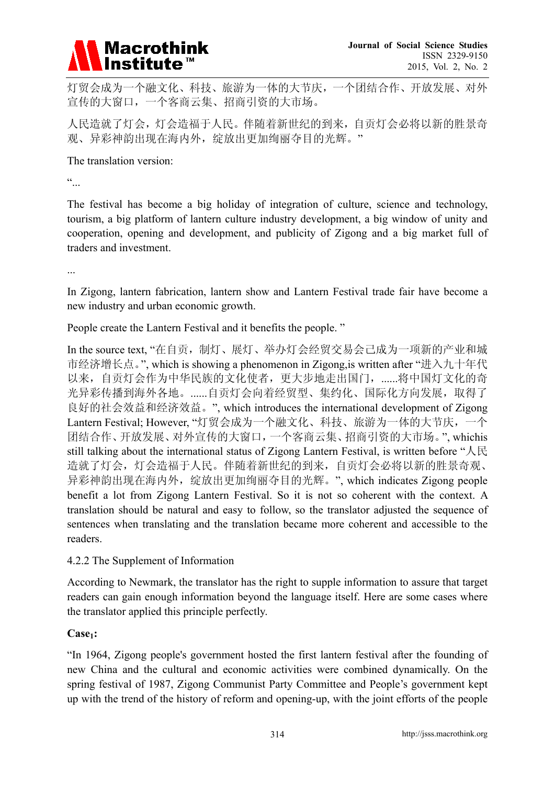

灯贸会成为一个融文化、科技、旅游为一体的大节庆,一个团结合作、开放发展、对外 宣传的大窗口,一个客商云集、招商引资的大市场。

人民造就了灯会,灯会造福于人民。伴随着新世纪的到来,自贡灯会必将以新的胜景奇 观、异彩神韵出现在海内外,绽放出更加绚丽夺目的光辉。"

The translation version:

 $\frac{1}{1}$ 

The festival has become a big holiday of integration of culture, science and technology, tourism, a big platform of lantern culture industry development, a big window of unity and cooperation, opening and development, and publicity of Zigong and a big market full of traders and investment.

...

In Zigong, lantern fabrication, lantern show and Lantern Festival trade fair have become a new industry and urban economic growth.

People create the Lantern Festival and it benefits the people. "

In the source text, "在自贡,制灯、展灯、举办灯会经贸交易会己成为一项新的产业和城 市经济增长点。", which is showing a phenomenon in Zigong,is written after "进入九十年代 以来,自贡灯会作为中华民族的文化使者,更大步地走出国门,......将中国灯文化的奇 光异彩传播到海外各地。......自贡灯会向着经贸型、集约化、国际化方向发展,取得了 良好的社会效益和经济效益。", which introduces the international development of Zigong Lantern Festival; However, "灯贸会成为一个融文化、科技、旅游为一体的大节庆,一个 团结合作、开放发展、对外宣传的大窗口,一个客商云集、招商引资的大市场。", whichis still talking about the international status of Zigong Lantern Festival, is written before "人民 造就了灯会,灯会造福于人民。伴随着新世纪的到来,自贡灯会必将以新的胜景奇观、 异彩神韵出现在海内外,绽放出更加绚丽夺目的光辉。", which indicates Zigong people benefit a lot from Zigong Lantern Festival. So it is not so coherent with the context. A translation should be natural and easy to follow, so the translator adjusted the sequence of sentences when translating and the translation became more coherent and accessible to the readers.

## 4.2.2 The Supplement of Information

According to Newmark, the translator has the right to supple information to assure that target readers can gain enough information beyond the language itself. Here are some cases where the translator applied this principle perfectly.

#### **Case1:**

"In 1964, Zigong people's government hosted the first lantern festival after the founding of new China and the cultural and economic activities were combined dynamically. On the spring festival of 1987, Zigong Communist Party Committee and People's government kept up with the trend of the history of reform and opening-up, with the joint efforts of the people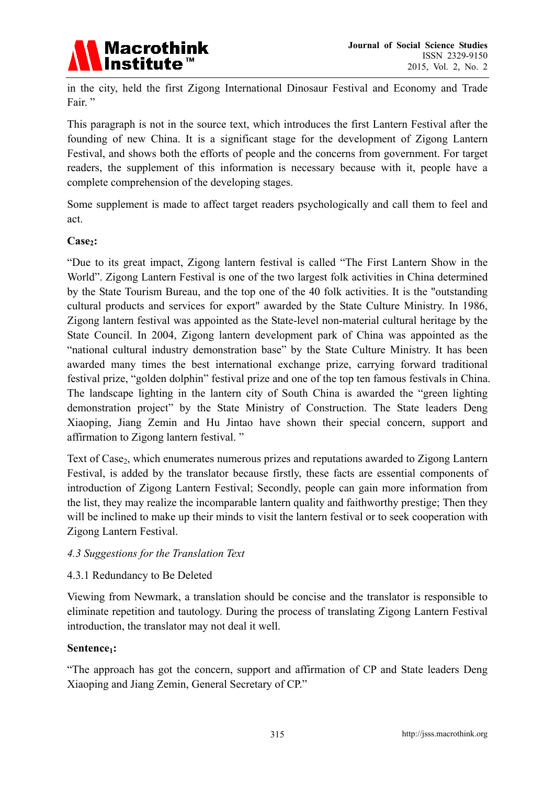

in the city, held the first Zigong International Dinosaur Festival and Economy and Trade Fair."

This paragraph is not in the source text, which introduces the first Lantern Festival after the founding of new China. It is a significant stage for the development of Zigong Lantern Festival, and shows both the efforts of people and the concerns from government. For target readers, the supplement of this information is necessary because with it, people have a complete comprehension of the developing stages.

Some supplement is made to affect target readers psychologically and call them to feel and act.

## Case<sub>2</sub>:

"Due to its great impact, Zigong lantern festival is called "The First Lantern Show in the World". Zigong Lantern Festival is one of the two largest folk activities in China determined by the State Tourism Bureau, and the top one of the 40 folk activities. It is the "outstanding cultural products and services for export" awarded by the State Culture Ministry. In 1986, Zigong lantern festival was appointed as the State-level non-material cultural heritage by the State Council. In 2004, Zigong lantern development park of China was appointed as the "national cultural industry demonstration base" by the State Culture Ministry. It has been awarded many times the best international exchange prize, carrying forward traditional festival prize, "golden dolphin" festival prize and one of the top ten famous festivals in China. The landscape lighting in the lantern city of South China is awarded the "green lighting demonstration project" by the State Ministry of Construction. The State leaders Deng Xiaoping, Jiang Zemin and Hu Jintao have shown their special concern, support and affirmation to Zigong lantern festival. "

Text of Case<sub>2</sub>, which enumerates numerous prizes and reputations awarded to Zigong Lantern Festival, is added by the translator because firstly, these facts are essential components of introduction of Zigong Lantern Festival; Secondly, people can gain more information from the list, they may realize the incomparable lantern quality and faithworthy prestige; Then they will be inclined to make up their minds to visit the lantern festival or to seek cooperation with Zigong Lantern Festival.

## *4.3 Suggestions for the Translation Text*

4.3.1 Redundancy to Be Deleted

Viewing from Newmark, a translation should be concise and the translator is responsible to eliminate repetition and tautology. During the process of translating Zigong Lantern Festival introduction, the translator may not deal it well.

#### Sentence<sub>1</sub>:

"The approach has got the concern, support and affirmation of CP and State leaders Deng Xiaoping and Jiang Zemin, General Secretary of CP."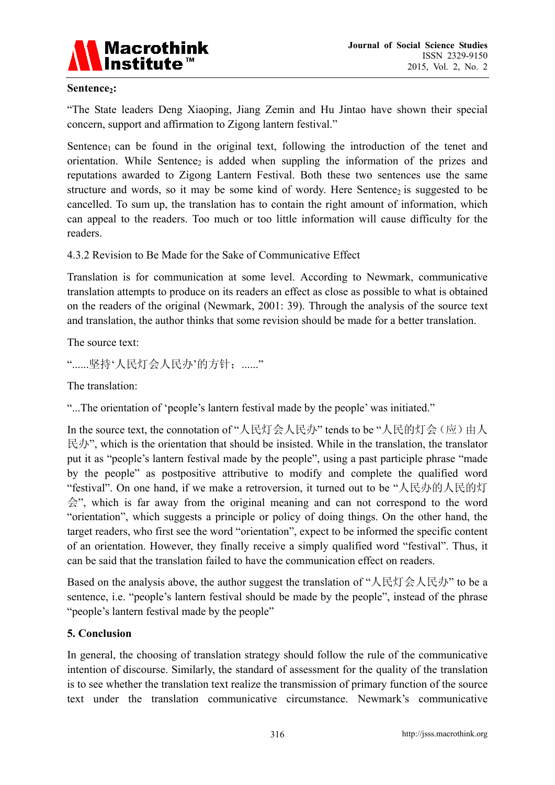

## Sentence<sub>2</sub>:

"The State leaders Deng Xiaoping, Jiang Zemin and Hu Jintao have shown their special concern, support and affirmation to Zigong lantern festival."

Sentence<sub>1</sub> can be found in the original text, following the introduction of the tenet and orientation. While Sentence<sub>2</sub> is added when suppling the information of the prizes and reputations awarded to Zigong Lantern Festival. Both these two sentences use the same structure and words, so it may be some kind of wordy. Here Sentence<sub>2</sub> is suggested to be cancelled. To sum up, the translation has to contain the right amount of information, which can appeal to the readers. Too much or too little information will cause difficulty for the readers.

## 4.3.2 Revision to Be Made for the Sake of Communicative Effect

Translation is for communication at some level. According to Newmark, communicative translation attempts to produce on its readers an effect as close as possible to what is obtained on the readers of the original (Newmark, 2001: 39). Through the analysis of the source text and translation, the author thinks that some revision should be made for a better translation.

The source text:

"......坚持'人民灯会人民办'的方针;......"

The translation:

"...The orientation of 'people's lantern festival made by the people' was initiated."

In the source text, the connotation of "人民灯会人民办" tends to be "人民的灯会(应)由人 民办", which is the orientation that should be insisted. While in the translation, the translator put it as "people's lantern festival made by the people", using a past participle phrase "made by the people" as postpositive attributive to modify and complete the qualified word "festival". On one hand, if we make a retroversion, it turned out to be "人民办的人民的灯 会", which is far away from the original meaning and can not correspond to the word "orientation", which suggests a principle or policy of doing things. On the other hand, the target readers, who first see the word "orientation", expect to be informed the specific content of an orientation. However, they finally receive a simply qualified word "festival". Thus, it can be said that the translation failed to have the communication effect on readers.

Based on the analysis above, the author suggest the translation of "人民灯会人民办" to be a sentence, i.e. "people's lantern festival should be made by the people", instead of the phrase "people's lantern festival made by the people"

#### **5. Conclusion**

In general, the choosing of translation strategy should follow the rule of the communicative intention of discourse. Similarly, the standard of assessment for the quality of the translation is to see whether the translation text realize the transmission of primary function of the source text under the translation communicative circumstance. Newmark's communicative